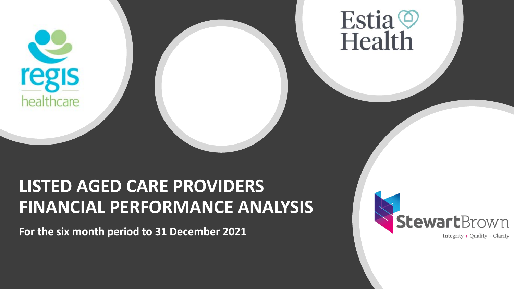

# Estia O<br>Health

### **LISTED AGED CARE PROVIDERS FINANCIAL PERFORMANCE ANALYSIS**

**For the six month period to 31 December 2021**

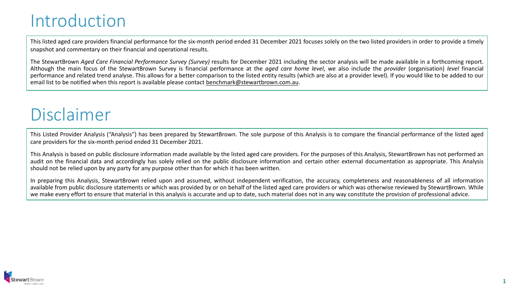### Introduction

This listed aged care providers financial performance for the six-month period ended 31 December 2021 focuses solely on the two listed providers in order to provide a timely snapshot and commentary on their financial and operational results.

The StewartBrown *Aged Care Financial Performance Survey (Survey)* results for December 2021 including the sector analysis will be made available in a forthcoming report. Although the main focus of the StewartBrown Survey is financial performance at the *aged care home level*, we also include the *provider* (organisation) *level* financial performance and related trend analyse. This allows for a better comparison to the listed entity results (which are also at a provider level). If you would like to be added to our email list to be notified when this report is available please contact [benchmark@stewartbrown.com.au.](about:blank)

### Disclaimer

This Listed Provider Analysis ("Analysis") has been prepared by StewartBrown. The sole purpose of this Analysis is to compare the financial performance of the listed aged care providers for the six-month period ended 31 December 2021.

This Analysis is based on public disclosure information made available by the listed aged care providers. For the purposes of this Analysis, StewartBrown has not performed an audit on the financial data and accordingly has solely relied on the public disclosure information and certain other external documentation as appropriate. This Analysis should not be relied upon by any party for any purpose other than for which it has been written.

In preparing this Analysis, StewartBrown relied upon and assumed, without independent verification, the accuracy, completeness and reasonableness of all information available from public disclosure statements or which was provided by or on behalf of the listed aged care providers or which was otherwise reviewed by StewartBrown. While we make every effort to ensure that material in this analysis is accurate and up to date, such material does not in any way constitute the provision of professional advice.

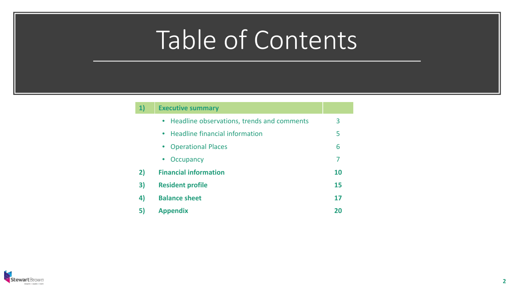#### **1) Executive summary**

|    | • Headline observations, trends and comments | 3         |
|----|----------------------------------------------|-----------|
|    | • Headline financial information             | 5         |
|    | • Operational Places                         | 6         |
|    | Occupancy<br>$\bullet$                       | 7         |
| 2) | <b>Financial information</b>                 | <b>10</b> |
| 3) | <b>Resident profile</b>                      | 15        |
| 4) | <b>Balance sheet</b>                         | 17        |
| 5) | <b>Appendix</b>                              | 20        |

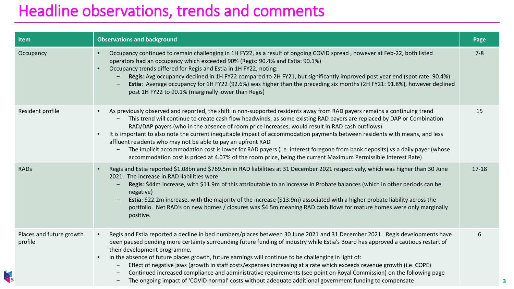### Headline observations, trends and comments

| <b>Item</b>                         | <b>Observations and background</b>                                                                                                                                                                                                                                                                                                                                                                                                                                                                                                                                                                                                                                                                                                                                                                                 | Page      |
|-------------------------------------|--------------------------------------------------------------------------------------------------------------------------------------------------------------------------------------------------------------------------------------------------------------------------------------------------------------------------------------------------------------------------------------------------------------------------------------------------------------------------------------------------------------------------------------------------------------------------------------------------------------------------------------------------------------------------------------------------------------------------------------------------------------------------------------------------------------------|-----------|
| Occupancy                           | Occupancy continued to remain challenging in 1H FY22, as a result of ongoing COVID spread, however at Feb-22, both listed<br>operators had an occupancy which exceeded 90% (Regis: 90.4% and Estia: 90.1%)<br>Occupancy trends differed for Regis and Estia in 1H FY22, noting:<br>$\bullet$<br>Regis: Avg occupancy declined in 1H FY22 compared to 2H FY21, but significantly improved post year end (spot rate: 90.4%)<br>Estia: Average occupancy for 1H FY22 (92.6%) was higher than the preceding six months (2H FY21: 91.8%), however declined<br>post 1H FY22 to 90.1% (marginally lower than Regis)                                                                                                                                                                                                       | $7 - 8$   |
| Resident profile                    | As previously observed and reported, the shift in non-supported residents away from RAD payers remains a continuing trend<br>This trend will continue to create cash flow headwinds, as some existing RAD payers are replaced by DAP or Combination<br>RAD/DAP payers (who in the absence of room price increases, would result in RAD cash outflows)<br>It is important to also note the current inequitable impact of accommodation payments between residents with means, and less<br>$\bullet$<br>affluent residents who may not be able to pay an upfront RAD<br>The implicit accommodation cost is lower for RAD payers (i.e. interest foregone from bank deposits) vs a daily payer (whose<br>accommodation cost is priced at 4.07% of the room price, being the current Maximum Permissible Interest Rate) | 15        |
| <b>RADs</b>                         | Regis and Estia reported \$1.08bn and \$769.5m in RAD liabilities at 31 December 2021 respectively, which was higher than 30 June<br>2021. The increase in RAD liabilities were:<br>Regis: \$44m increase, with \$11.9m of this attributable to an increase in Probate balances (which in other periods can be<br>negative)<br>Estia: \$22.2m increase, with the majority of the increase (\$13.9m) associated with a higher probate liability across the<br>portfolio. Net RAD's on new homes / closures was \$4.5m meaning RAD cash flows for mature homes were only marginally<br>positive.                                                                                                                                                                                                                     | $17 - 18$ |
| Places and future growth<br>profile | Regis and Estia reported a decline in bed numbers/places between 30 June 2021 and 31 December 2021. Regis developments have<br>$\bullet$<br>been paused pending more certainty surrounding future funding of industry while Estia's Board has approved a cautious restart of<br>their development programme.<br>In the absence of future places growth, future earnings will continue to be challenging in light of:<br>Effect of negative jaws (growth in staff costs/expenses increasing at a rate which exceeds revenue growth (i.e. COPE)<br>Continued increased compliance and administrative requirements (see point on Royal Commission) on the following page<br>The ongoing impact of 'COVID normal' costs without adequate additional government funding to compensate<br>$\overline{\phantom{m}}$       | 6         |

**3**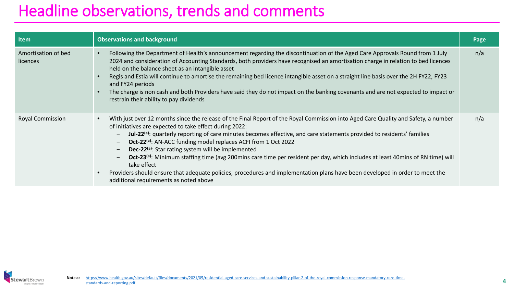### Headline observations, trends and comments

| <b>Item</b>                     | <b>Observations and background</b>                                                                                                                                                                                                                                                                                                                                                                                                                                                                                                                                                                                                                                                                                                                                                                                         | Page |
|---------------------------------|----------------------------------------------------------------------------------------------------------------------------------------------------------------------------------------------------------------------------------------------------------------------------------------------------------------------------------------------------------------------------------------------------------------------------------------------------------------------------------------------------------------------------------------------------------------------------------------------------------------------------------------------------------------------------------------------------------------------------------------------------------------------------------------------------------------------------|------|
| Amortisation of bed<br>licences | Following the Department of Health's announcement regarding the discontinuation of the Aged Care Approvals Round from 1 July<br>2024 and consideration of Accounting Standards, both providers have recognised an amortisation charge in relation to bed licences<br>held on the balance sheet as an intangible asset<br>Regis and Estia will continue to amortise the remaining bed licence intangible asset on a straight line basis over the 2H FY22, FY23<br>and FY24 periods<br>The charge is non cash and both Providers have said they do not impact on the banking covenants and are not expected to impact or<br>restrain their ability to pay dividends                                                                                                                                                          | n/a  |
| <b>Royal Commission</b>         | With just over 12 months since the release of the Final Report of the Royal Commission into Aged Care Quality and Safety, a number<br>of initiatives are expected to take effect during 2022:<br>Jul-22 <sup>(a)</sup> : quarterly reporting of care minutes becomes effective, and care statements provided to residents' families<br>Oct-22 <sup>(a)</sup> : AN-ACC funding model replaces ACFI from 1 Oct 2022<br>Dec-22 <sup>(a)</sup> : Star rating system will be implemented<br>Oct-23 <sup>(a)</sup> : Minimum staffing time (avg 200mins care time per resident per day, which includes at least 40mins of RN time) will<br>take effect<br>Providers should ensure that adequate policies, procedures and implementation plans have been developed in order to meet the<br>additional requirements as noted above | n/a  |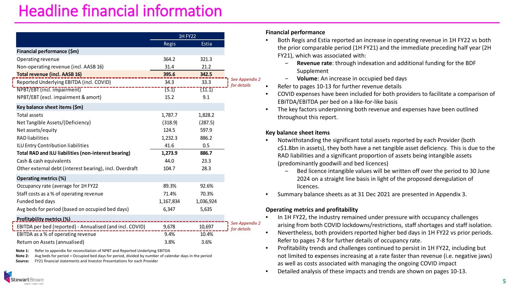### Headline financial information

|                                                                                                                    |           | <b>1H FY22</b> |                               |
|--------------------------------------------------------------------------------------------------------------------|-----------|----------------|-------------------------------|
|                                                                                                                    | Regis     | Estia          |                               |
| Financial performance (\$m)                                                                                        |           |                |                               |
| Operating revenue                                                                                                  | 364.2     | 321.3          |                               |
| Non-operating revenue (incl. AASB 16)                                                                              | 31.4      | 21.2           |                               |
| <b>Total revenue (incl. AASB 16)</b>                                                                               | 395.6     | 342.5          |                               |
| Reported Underlying EBITDA (incl. COVID)                                                                           | 34.3      | 33.3           | See Appendix 2<br>for details |
| NPBT/EBT (incl. impairment)                                                                                        | (5.1)     | (11.1)         |                               |
| NPBT/EBT (excl. impairment & amort)                                                                                | 15.2      | 9.1            |                               |
| Key balance sheet items (\$m)                                                                                      |           |                |                               |
| Total assets                                                                                                       | 1,787.7   | 1,828.2        |                               |
| Net Tangible Assets/(Deficiency)                                                                                   | (318.9)   | (287.5)        |                               |
| Net assets/equity                                                                                                  | 124.5     | 597.9          |                               |
| <b>RAD</b> liabilities                                                                                             | 1,232.3   | 886.2          |                               |
| ILU Entry Contribution liabilities                                                                                 | 41.6      | 0.5            |                               |
| Total RAD and ILU liabilities (non-interest bearing)                                                               | 1,273.9   | 886.7          |                               |
| Cash & cash equivalents                                                                                            | 44.0      | 23.3           |                               |
| Other external debt (interest bearing), incl. Overdraft                                                            | 104.7     | 28.3           |                               |
| <b>Operating metrics (%)</b>                                                                                       |           |                |                               |
| Occupancy rate (average for 1H FY22                                                                                | 89.3%     | 92.6%          |                               |
| Staff costs as a % of operating revenue                                                                            | 71.4%     | 70.3%          |                               |
| Funded bed days                                                                                                    | 1,167,834 | 1,036,924      |                               |
| Avg beds for period (based on occupied bed days)                                                                   | 6,347     | 5,635          |                               |
| $\mathbf{r}$ and $\mathbf{r}$ and $\mathbf{r}$ and $\mathbf{r}$ and $\mathbf{r}$ and $\mathbf{r}$ and $\mathbf{r}$ |           |                |                               |

| EBITDA per bed (reported) - Annualised (and incl. COVID) |      |       | $\Box$ for details |
|----------------------------------------------------------|------|-------|--------------------|
| EBITDA as a % of operating revenue                       | 9.4% | 10.4% |                    |
| Return on Assets (annualised)                            | 3.8% | 3.6%  |                    |

**Note 1:** Refer to appendix for reconciliation of NPBT and Reported Underlying EBITDA

**Note 2:** Avg beds for period = Occupied bed days for period, divided by number of calendar days in the period

**Source:** FY21 financial statements and Investor Presentations for each Provider

#### **Financial performance**

- Both Regis and Estia reported an increase in operating revenue in 1H FY22 vs both the prior comparable period (1H FY21) and the immediate preceding half year (2H FY21), which was associated with:
	- ‒ **Revenue rate**: through indexation and additional funding for the BDF Supplement
	- ‒ **Volume**: An increase in occupied bed days
- Refer to pages 10-13 for further revenue details
- COVID expenses have been included for both providers to facilitate a comparison of EBITDA/EBITDA per bed on a like-for-like basis
- The key factors underpinning both revenue and expenses have been outlined throughout this report.

#### **Key balance sheet items**

- Notwithstanding the significant total assets reported by each Provider (both c\$1.8bn in assets), they both have a net tangible asset deficiency. This is due to the RAD liabilities and a significant proportion of assets being intangible assets (predominantly goodwill and bed licences)
	- ‒ Bed licence intangible values will be written off over the period to 30 June 2024 on a straight line basis in light of the proposed deregulation of licences.
- Summary balance sheets as at 31 Dec 2021 are presented in Appendix 3.

#### **Operating metrics and profitability**

- In 1H FY22, the industry remained under pressure with occupancy challenges arising from both COVID lockdowns/restrictions, staff shortages and staff isolation.
- Nevertheless, both providers reported higher bed days in 1H FY22 vs prior periods. Refer to pages 7-8 for further details of occupancy rate.
- Profitability trends and challenges continued to persist in 1H FY22, including but not limited to expenses increasing at a rate faster than revenue (i.e. negative jaws) as well as costs associated with managing the ongoing COVID impact
- Detailed analysis of these impacts and trends are shown on pages 10-13.

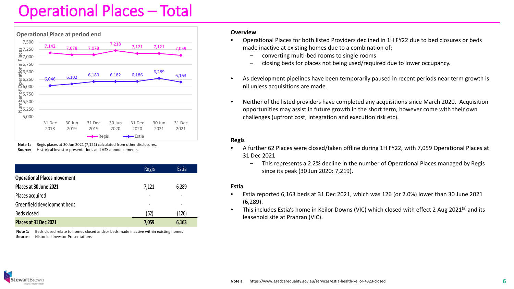### Operational Places – Total



**Note 1:** Regis places at 30 Jun 2021 (7,121) calculated from other disclosures. **Source:** Historical investor presentations and ASX announcements.

|                                    | <b>Regis</b> | <b>Estia</b> |
|------------------------------------|--------------|--------------|
| <b>Operational Places movement</b> |              |              |
| Places at 30 June 2021             | 7,121        | 6,289        |
| Places acquired                    | ٠            | -            |
| Greenfield development beds        | ٠            |              |
| Beds closed                        | (62)         | (126)        |
| Places at 31 Dec 2021              | 7,059        | 6,163        |

**Note 1:** Beds closed relate to homes closed and/or beds made inactive within existing homes **Source:** Historical Investor Presentations

#### **Overview**

- Operational Places for both listed Providers declined in 1H FY22 due to bed closures or beds made inactive at existing homes due to a combination of:
	- ‒ converting multi-bed rooms to single rooms
	- ‒ closing beds for places not being used/required due to lower occupancy.
- As development pipelines have been temporarily paused in recent periods near term growth is nil unless acquisitions are made.
- Neither of the listed providers have completed any acquisitions since March 2020. Acquisition opportunities may assist in future growth in the short term, however come with their own challenges (upfront cost, integration and execution risk etc).

#### **Regis**

- A further 62 Places were closed/taken offline during 1H FY22, with 7,059 Operational Places at 31 Dec 2021
	- ‒ This represents a 2.2% decline in the number of Operational Places managed by Regis since its peak (30 Jun 2020: 7,219).

#### **Estia**

- Estia reported 6,163 beds at 31 Dec 2021, which was 126 (or 2.0%) lower than 30 June 2021 (6,289).
- This includes Estia's home in Keilor Downs (VIC) which closed with effect 2 Aug 2021<sup>(a)</sup> and its leasehold site at Prahran (VIC).

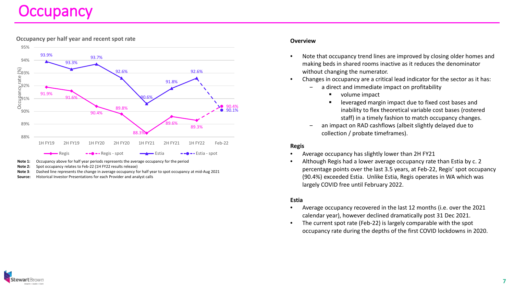### **Occupancy**



**Occupancy per half year and recent spot rate**

- **Note 1:** Occupancy above for half year periods represents the average occupancy for the period
- **Note 2:** Spot occupancy relates to Feb-22 (1H FY22 results release)
- **Note 3**: Dashed line represents the change in average occupancy for half year to spot occupancy at mid-Aug 2021
- **Source:** Historical Investor Presentations for each Provider and analyst calls

#### **Overview**

- Note that occupancy trend lines are improved by closing older homes and making beds in shared rooms inactive as it reduces the denominator without changing the numerator.
- Changes in occupancy are a critical lead indicator for the sector as it has:
	- a direct and immediate impact on profitability
		- volume impact
		- leveraged margin impact due to fixed cost bases and inability to flex theoretical variable cost bases (rostered staff) in a timely fashion to match occupancy changes.
	- an impact on RAD cashflows (albeit slightly delayed due to collection / probate timeframes).

#### **Regis**

- Average occupancy has slightly lower than 2H FY21
- Although Regis had a lower average occupancy rate than Estia by c. 2 percentage points over the last 3.5 years, at Feb-22, Regis' spot occupancy (90.4%) exceeded Estia. Unlike Estia, Regis operates in WA which was largely COVID free until February 2022.

#### **Estia**

- Average occupancy recovered in the last 12 months (i.e. over the 2021 calendar year), however declined dramatically post 31 Dec 2021.
- The current spot rate (Feb-22) is largely comparable with the spot occupancy rate during the depths of the first COVID lockdowns in 2020.

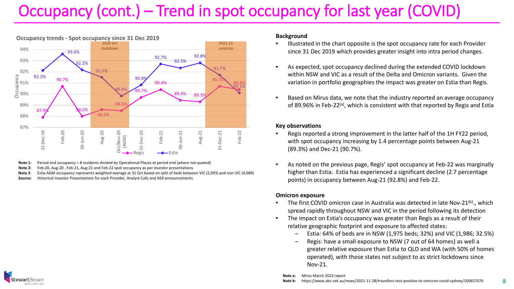### Occupancy (cont.) – Trend in spot occupancy for last year (COVID)



**Note 1:** Period end occupancy = # residents divided by Operational Places at period end (where not quoted)

**Note 2:** Feb-20, Aug-20 , Feb-21, Aug-21 and Feb-22 spot occupancy as per investor presentations

- **Note 3**: Estia AGM occupancy represents weighted average at 31 Oct based on split of beds between VIC (2,093) and non-VIC (4,089)
- **Source:** Historical Investor Presentations for each Provider, Analyst Calls and ASX announcements

#### **Background**

- Illustrated in the chart opposite is the spot occupancy rate for each Provider since 31 Dec 2019 which provides greater insight into intra period changes.
- As expected, spot occupancy declined during the extended COVID lockdown within NSW and VIC as a result of the Delta and Omicron variants. Given the variation in portfolio geographies the impact was greater on Estia than Regis.
- Based on Mirus data, we note that the industry reported an average occupancy of 89.96% in Feb-22<sup>(a)</sup>, which is consistent with that reported by Regis and Estia

#### **Key observations**

- Regis reported a strong improvement in the latter half of the 1H FY22 period, with spot occupancy increasing by 1.4 percentage points between Aug-21 (89.3%) and Dec-21 (90.7%).
- As noted on the previous page, Regis' spot occupancy at Feb-22 was marginally higher than Estia. Estia has experienced a significant decline (2.7 percentage points) in occupancy between Aug-21 (92.8%) and Feb-22.

#### **Omicron exposure**

- The first COVID omicron case in Australia was detected in late Nov-21<sup>(b)</sup>., which spread rapidly throughout NSW and VIC in the period following its detection
- The impact on Estia's occupancy was greater than Regis as a result of their relative geographic footprint and exposure to affected states:
	- ‒ Estia: 64% of beds are in NSW (1,975 beds; 32%) and VIC (1,986; 32.5%)
	- ‒ Regis: have a small exposure to NSW (7 out of 64 homes) as well a greater relative exposure than Estia to QLD and WA (with 50% of homes operated), with those states not subject to as strict lockdowns since Nov-21.
	- **Note a:** Mirus March 2022 report

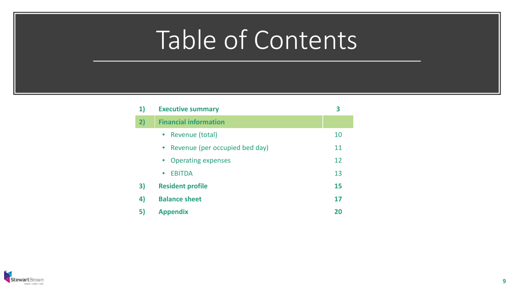| 1) | <b>Executive summary</b>               | 3  |
|----|----------------------------------------|----|
| 2) | <b>Financial information</b>           |    |
|    | • Revenue (total)                      | 10 |
|    | • Revenue (per occupied bed day)       | 11 |
|    | <b>Operating expenses</b><br>$\bullet$ | 12 |
|    | <b>EBITDA</b><br>$\bullet$             | 13 |
| 3) | <b>Resident profile</b>                | 15 |
| 4) | <b>Balance sheet</b>                   | 17 |
| 5) | <b>Appendix</b>                        | 20 |

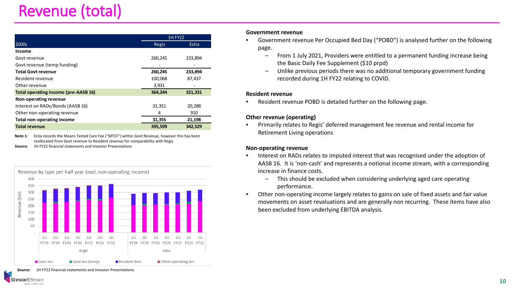### Revenue (total)

|                                             | <b>1H FY22</b> |         |  |
|---------------------------------------------|----------------|---------|--|
| \$000s                                      | Regis          | Estia   |  |
| <b>Income</b>                               |                |         |  |
| Govt revenue                                | 260,245        | 233,894 |  |
| Govt revenue (temp funding)                 |                |         |  |
| <b>Total Govt revenue</b>                   | 260,245        | 233,894 |  |
| Resident revenue                            | 100,068        | 87,437  |  |
| Other revenue                               | 3,931          |         |  |
| <b>Total operating income (pre-AASB 16)</b> | 364,244        | 321,331 |  |
| Non-operating revenue                       |                |         |  |
| Interest on RADs/Bonds (AASB 16)            | 31,351         | 20,288  |  |
| Other non-operating revenue                 | 4              | 910     |  |
| <b>Total non-operating income</b>           | 31,355         | 21,198  |  |
| <b>Total revenue</b>                        | 395,599        | 342,529 |  |

**Note 1:** Estia records the Means Tested Care Fee ("MTCF") within Govt Revenue, however this has been reallocated from Govt revenue to Resident revenue for comparability with Regis

**Source:** 1H FY22 financial statements and Investor Presentations



#### **Government revenue**

- Government revenue Per Occupied Bed Day ("POBD") is analysed further on the following page.
	- ‒ From 1 July 2021, Providers were entitled to a permanent funding increase being the Basic Daily Fee Supplement (\$10 prpd)
	- ‒ Unlike previous periods there was no additional temporary government funding recorded during 1H FY22 relating to COVID.

#### **Resident revenue**

• Resident revenue POBD is detailed further on the following page.

#### **Other revenue (operating)**

• Primarily relates to Regis' deferred management fee revenue and rental income for Retirement Living operations

#### **Non-operating revenue**

- Interest on RADs relates to imputed interest that was recognised under the adoption of AASB 16. It is 'non-cash' and represents a notional income stream, with a corresponding increase in finance costs.
	- This should be excluded when considering underlying aged care operating performance.
- Other non-operating income largely relates to gains on sale of fixed assets and fair value movements on asset revaluations and are generally non recurring. These items have also been excluded from underlying EBITDA analysis.

**Source:** 1H FY22 financial statements and Investor Presentations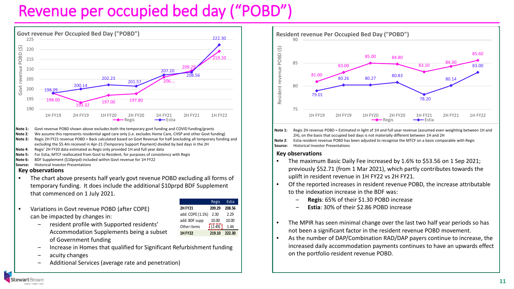### Revenue per occupied bed day ("POBD")



- **Note 1:** Govt revenue POBD shown above excludes both the temporary govt funding and COVID funding/grants
- **Note 2**: We assume this represents residential aged care only (i.e. excludes Home Care, CHSP and other Govt funding)
- **Note 3:** Regis 2H FY21 revenue POBD = Back calculated based on Govt Revenue for half (excluding all temporary funding and excluding the \$5.4m received in Apr-21 (Temporary Support Payment) divided by bed days in the 2H
- **Note 4**: Regis' 2H FY20 data estimated as Regis only provided 1H and full year data

• Variations in Govt revenue POBD (after COPE)

- **Note 5:** For Estia, MTCF reallocated from Govt to Resident, for purposes of consistency with Regis
- **Note 6:** BDF Supplement (\$10prpd) included within Govt revenue for 1H FY22
- **Source:** Historical Investor Presentations

#### **Key observations**

• The chart above presents half yearly govt revenue POBD excluding all forms of temporary funding. It does include the additional \$10prpd BDF Supplement that commenced on 1 July 2021.

|    |                  | Regis         | Estia  |
|----|------------------|---------------|--------|
|    | <b>2H FY21</b>   | 209.29        | 208.56 |
|    | add: COPE (1.1%) | 2.30          | 2.29   |
|    | add: BDF supp    | 10.00         | 10.00  |
|    | Other items      | $\sqrt{2.49}$ | 1.44   |
| et | <b>1HFY22</b>    | 219.10        | 222.30 |

- ‒ resident profile with Supported residents' Accommodation Supplements being a subset of Government funding
- ‒ Increase in Homes that qualified for Significant Refurbishment funding
- ‒ acuity changes

can be impacted by changes in:

‒ Additional Services (average rate and penetration)



**Note 1:** Regis 2H revenue POBD = Estimated in light of 1H and full year revenue (assumed even weighting between 1H and 2H), on the basis that occupied bed days is not materially different between 1H and 2H

**Note 2**: Estia resident revenue POBD has been adjusted to recognise the MTCF on a basis comparable with Regis **Source:** Historical Investor Presentations

#### **Key observations**

- The maximum Basic Daily Fee increased by 1.6% to \$53.56 on 1 Sep 2021; previously \$52.71 (from 1 Mar 2021), which partly contributes towards the uplift in resident revenue in 1H FY22 vs 2H FY21.
- Of the reported increases in resident revenue POBD, the increase attributable to the indexation increase in the BDF was:
	- ‒ **Regis**: 65% of their \$1.30 POBD increase
	- ‒ **Estia**: 30% of their \$2.86 POBD increase
- The MPIR has seen minimal change over the last two half year periods so has not been a significant factor in the resident revenue POBD movement.
- As the number of DAP/Combination RAD/DAP payers continue to increase, the increased daily accommodation payments continues to have an upwards effect on the portfolio resident revenue POBD.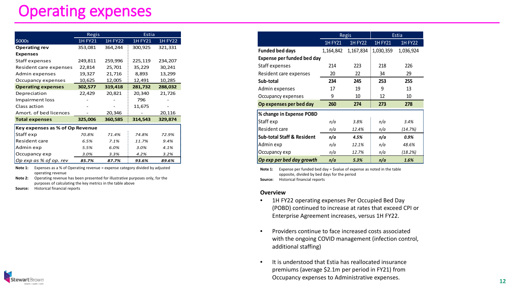### Operating expenses

|                                 | Regis          |              | Estia          |                |
|---------------------------------|----------------|--------------|----------------|----------------|
| \$000s                          | <b>1H FY21</b> | $1H$ FY $22$ | <b>1H FY21</b> | <b>1H FY22</b> |
| <b>Operating rev</b>            | 353,081        | 364,244      | 300,925        | 321,331        |
| <b>Expenses</b>                 |                |              |                |                |
| Staff expenses                  | 249,811        | 259,996      | 225,119        | 234,207        |
| Resident care expenses          | 22,814         | 25,701       | 35,229         | 30,241         |
| Admin expenses                  | 19,327         | 21,716       | 8,893          | 13,299         |
| Occupancy expenses              | 10,625         | 12,005       | 12,491         | 10,285         |
| <b>Operating expenses</b>       | 302,577        | 319,418      | 281,732        | 288,032        |
| Depreciation                    | 22,429         | 20,821       | 20,340         | 21,726         |
| Impairment loss                 |                |              | 796            |                |
| Class action                    |                |              | 11,675         |                |
| Amort, of bed licences          |                | 20,346       |                | 20,116         |
| <b>Total expenses</b>           | 325,006        | 360,585      | 314,543        | 329,874        |
| Key expenses as % of Op Revenue |                |              |                |                |
| Staff exp                       | 70.8%          | 71.4%        | 74.8%          | 72.9%          |
| Resident care                   | 6.5%           | 7.1%         | 11.7%          | 9.4%           |
| Admin exp                       | 5.5%           | 6.0%         | 3.0%           | 4.1%           |
| Occupancy exp                   | 3.0%           | 3.3%         | 4.2%           | 3.2%           |
| Op exp as % of op. rev          | 85.7%          | 87.7%        | 93.6%          | 89.6%          |

**Note 1:** Expenses as a % of Operating revenue = expense category divided by adjusted operating revenue

**Note 2:** Operating revenue has been presented for illustrative purposes only, for the purposes of calculating the key metrics in the table above

**Source:** Historical financial reports

|                                       | <b>Regis</b>   |                |           |                | Estia |  |
|---------------------------------------|----------------|----------------|-----------|----------------|-------|--|
|                                       | <b>1H FY21</b> | <b>1H FY22</b> | 1H FY21   | <b>1H FY22</b> |       |  |
| <b>Funded bed days</b>                | 1,164,842      | 1,167,834      | 1,030,359 | 1,036,924      |       |  |
| Expense per funded bed day            |                |                |           |                |       |  |
| Staff expenses                        | 214            | 223            | 218       | 226            |       |  |
| Resident care expenses                | 20             | 22             | 34        | 29             |       |  |
| Sub-total                             | 234            | 245            | 253       | 255            |       |  |
| Admin expenses                        | 17             | 19             | 9         | 13             |       |  |
| Occupancy expenses                    | 9              | 10             | 12        | 10             |       |  |
| Op expenses per bed day               | 260            | 274            | 273       | 278            |       |  |
| % change in Expense POBD              |                |                |           |                |       |  |
| Staff exp                             | n/a            | 3.8%           | n/a       | 3.4%           |       |  |
| Resident care                         | n/a            | 12.4%          | n/a       | (14.7%)        |       |  |
| <b>Sub-total Staff &amp; Resident</b> | n/a            | 4.5%           | n/a       | 0.9%           |       |  |
| Admin exp                             | n/a            | 12.1%          | n/a       | 48.6%          |       |  |
| Occupancy exp                         | n/a            | 12.7%          | n/a       | (18.2%)        |       |  |
| Op exp per bed day growth             | n/a            | 5.3%           | n/a       | 1.6%           |       |  |

**Note 1:** Expense per funded bed day = \$value of expense as noted in the table opposite, divided by bed days for the period **Source:** Historical financial reports

#### **Overview**

- 1H FY22 operating expenses Per Occupied Bed Day (POBD) continued to increase at rates that exceed CPI or Enterprise Agreement increases, versus 1H FY22.
- Providers continue to face increased costs associated with the ongoing COVID management (infection control, additional staffing)
- It is understood that Estia has reallocated insurance premiums (average \$2.1m per period in FY21) from Occupancy expenses to Administrative expenses. **<sup>12</sup>**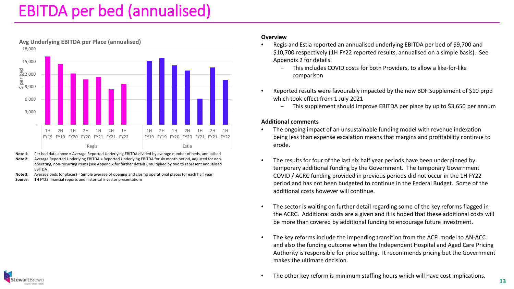### EBITDA per bed (annualised)



**Avg Underlying EBITDA per Place (annualised)**

**Note 1:** Per bed data above = Average Reported Underlying EBITDA divided by average number of beds, annualised

- **Note 2:** Average Reported Underlying EBITDA = Reported Underlying EBITDA for six month period, adjusted for nonoperating, non-recurring items (see Appendix for further details), multiplied by two to represent annualised EBITDA
- **Note 3:** Average beds (or places) = Simple average of opening and closing operational places for each half year
- **Source: 1H** FY22 financial reports and historical investor presentations

#### **Overview**

- Regis and Estia reported an annualised underlying EBITDA per bed of \$9,700 and \$10,700 respectively (1H FY22 reported results, annualised on a simple basis). See Appendix 2 for details
	- ‒ This includes COVID costs for both Providers, to allow a like-for-like comparison
- Reported results were favourably impacted by the new BDF Supplement of \$10 prpd which took effect from 1 July 2021
	- ‒ This supplement should improve EBITDA per place by up to \$3,650 per annum

#### **Additional comments**

- The ongoing impact of an unsustainable funding model with revenue indexation being less than expense escalation means that margins and profitability continue to erode.
- The results for four of the last six half year periods have been underpinned by temporary additional funding by the Government. The temporary Government COVID / ACRC funding provided in previous periods did not occur in the 1H FY22 period and has not been budgeted to continue in the Federal Budget. Some of the additional costs however will continue.
- The sector is waiting on further detail regarding some of the key reforms flagged in the ACRC. Additional costs are a given and it is hoped that these additional costs will be more than covered by additional funding to encourage future investment.
- The key reforms include the impending transition from the ACFI model to AN-ACC and also the funding outcome when the Independent Hospital and Aged Care Pricing Authority is responsible for price setting. It recommends pricing but the Government makes the ultimate decision.
- The other key reform is minimum staffing hours which will have cost implications.

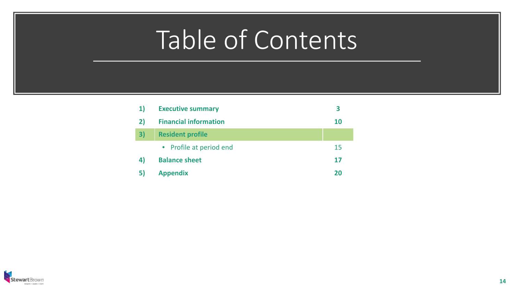| 1) | <b>Executive summary</b>     | 3         |
|----|------------------------------|-----------|
| 2) | <b>Financial information</b> | <b>10</b> |
| 3) | <b>Resident profile</b>      |           |
|    | • Profile at period end      | 15        |
| 4) | <b>Balance sheet</b>         | 17        |
| 51 | <b>Appendix</b>              | 20        |

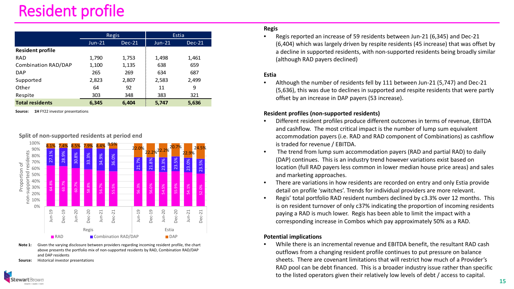### Resident profile

|                         | Regis    |          | Estia    |          |
|-------------------------|----------|----------|----------|----------|
|                         | $Jun-21$ | $Dec-21$ | $Jun-21$ | $Dec-21$ |
| <b>Resident profile</b> |          |          |          |          |
| <b>RAD</b>              | 1,790    | 1,753    | 1,498    | 1,461    |
| Combination RAD/DAP     | 1,100    | 1,135    | 638      | 659      |
| <b>DAP</b>              | 265      | 269      | 634      | 687      |
| Supported               | 2,823    | 2,807    | 2,583    | 2,499    |
| Other                   | 64       | 92       | 11       | 9        |
| Respite                 | 303      | 348      | 383      | 321      |
| <b>Total residents</b>  | 6,345    | 6,404    | 5,747    | 5,636    |

**Source: 1H** FY22 investor presentations

#### **Split of non-supported residents at period end**



**Note 1:** Given the varying disclosure between providers regarding incoming resident profile, the chart above presents the portfolio mix of non-supported residents by RAD, Combination RAD/DAP and DAP residents

**Source:** Historical investor presentations

#### **Regis**

• Regis reported an increase of 59 residents between Jun-21 (6,345) and Dec-21 (6,404) which was largely driven by respite residents (45 increase) that was offset by a decline in supported residents, with non-supported residents being broadly similar (although RAD payers declined)

#### **Estia**

• Although the number of residents fell by 111 between Jun-21 (5,747) and Dec-21 (5,636), this was due to declines in supported and respite residents that were partly offset by an increase in DAP payers (53 increase).

#### **Resident profiles (non-supported residents)**

- Different resident profiles produce different outcomes in terms of revenue, EBITDA and cashflow. The most critical impact is the number of lump sum equivalent accommodation payers (i.e. RAD and RAD component of Combinations) as cashflow is traded for revenue / EBITDA.
- The trend from lump sum accommodation payers (RAD and partial RAD) to daily (DAP) continues. This is an industry trend however variations exist based on location (full RAD payers less common in lower median house price areas) and sales and marketing approaches.
- There are variations in how residents are recorded on entry and only Estia provide detail on profile 'switches'. Trends for individual providers are more relevant.
- Regis' total portfolio RAD resident numbers declined by c3.3% over 12 months. This is on resident turnover of only c37% indicating the proportion of incoming residents paying a RAD is much lower. Regis has been able to limit the impact with a corresponding increase in Combos which pay approximately 50% as a RAD.

#### **Potential implications**

• While there is an incremental revenue and EBITDA benefit, the resultant RAD cash outflows from a changing resident profile continues to put pressure on balance sheets. There are covenant limitations that will restrict how much of a Provider's RAD pool can be debt financed. This is a broader industry issue rather than specific to the listed operators given their relatively low levels of debt / access to capital.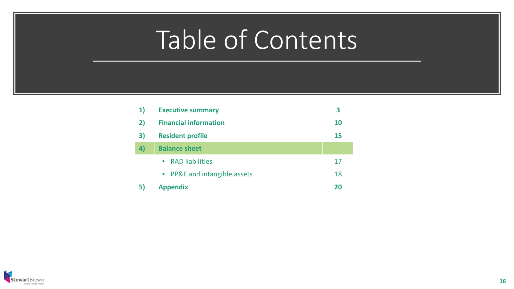| $\mathbf{1}$ | <b>Executive summary</b>     |           |
|--------------|------------------------------|-----------|
| 2)           | <b>Financial information</b> | <b>10</b> |
| 3)           | <b>Resident profile</b>      | 15        |
| 4)           | <b>Balance sheet</b>         |           |
|              | • RAD liabilities            | 17        |
|              | • PP&E and intangible assets | 18        |
| 5)           | <b>Appendix</b>              | 20        |

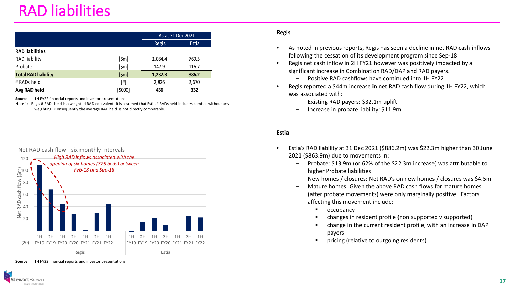### RAD liabilities

|                            |                 | As at 31 Dec 2021 |       |
|----------------------------|-----------------|-------------------|-------|
|                            |                 | Regis             | Estia |
| <b>RAD</b> liabilities     |                 |                   |       |
| RAD liability              | $[\$m]$         | 1,084.4           | 769.5 |
| Probate                    | [\$m]           | 147.9             | 116.7 |
| <b>Total RAD liability</b> | $[\mathsf{5m}]$ | 1,232.3           | 886.2 |
| # RADs held                | [#]             | 2,826             | 2,670 |
| Avg RAD held               | [\$000]         | 436               | 332   |

**Source: 1H** FY22 financial reports and investor presentations

Note 1: Regis # RADs held is a weighted RAD equivalent; it is assumed that Estia # RADs held includes combos without any weighting. Consequently the average RAD held is not directly comparable.



**Source: 1H** FY22 financial reports and investor presentations

rartBrowr

#### **Regis**

- As noted in previous reports, Regis has seen a decline in net RAD cash inflows following the cessation of its development program since Sep-18
- Regis net cash inflow in 2H FY21 however was positively impacted by a significant increase in Combination RAD/DAP and RAD payers.
	- ‒ Positive RAD cashflows have continued into 1H FY22
- Regis reported a \$44m increase in net RAD cash flow during 1H FY22, which was associated with:
	- ‒ Existing RAD payers: \$32.1m uplift
	- ‒ Increase in probate liability: \$11.9m

#### **Estia**

- Estia's RAD liability at 31 Dec 2021 (\$886.2m) was \$22.3m higher than 30 June 2021 (\$863.9m) due to movements in:
	- ‒ Probate: \$13.9m (or 62% of the \$22.3m increase) was attributable to higher Probate liabilities
	- ‒ New homes / closures: Net RAD's on new homes / closures was \$4.5m
	- ‒ Mature homes: Given the above RAD cash flows for mature homes (after probate movements) were only marginally positive. Factors affecting this movement include:
		- **C**cupancy
		- changes in resident profile (non supported v supported)
		- change in the current resident profile, with an increase in DAP payers
		- pricing (relative to outgoing residents)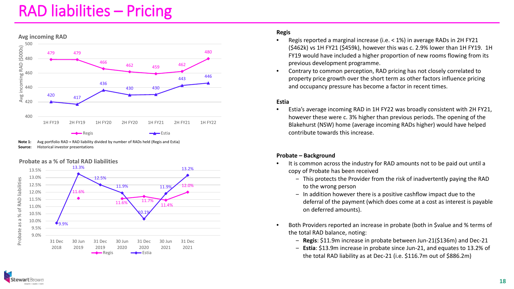### RAD liabilities – Pricing



**Note 1:** Avg portfolio RAD = RAD liability divided by number of RADs held (Regis and Estia) **Source:** Historical investor presentations

#### **Probate as a % of Total RAD liabilities**



#### **Regis**

- Regis reported a marginal increase (i.e. < 1%) in average RADs in 2H FY21 (\$462k) vs 1H FY21 (\$459k), however this was c. 2.9% lower than 1H FY19. 1H FY19 would have included a higher proportion of new rooms flowing from its previous development programme.
- Contrary to common perception, RAD pricing has not closely correlated to property price growth over the short term as other factors influence pricing and occupancy pressure has become a factor in recent times.

#### **Estia**

• Estia's average incoming RAD in 1H FY22 was broadly consistent with 2H FY21, however these were c. 3% higher than previous periods. The opening of the Blakehurst (NSW) home (average incoming RADs higher) would have helped contribute towards this increase.

#### **Probate – Background**

- It is common across the industry for RAD amounts not to be paid out until a copy of Probate has been received
	- This protects the Provider from the risk of inadvertently paying the RAD to the wrong person
	- In addition however there is a positive cashflow impact due to the deferral of the payment (which does come at a cost as interest is payable on deferred amounts).
- Both Providers reported an increase in probate (both in \$value and % terms of the total RAD balance, noting:
	- ‒ **Regis**: \$11.9m increase in probate between Jun-21(\$136m) and Dec-21
	- ‒ **Estia**: \$13.9m increase in probate since Jun-21, and equates to 13.2% of the total RAD liability as at Dec-21 (i.e. \$116.7m out of \$886.2m)

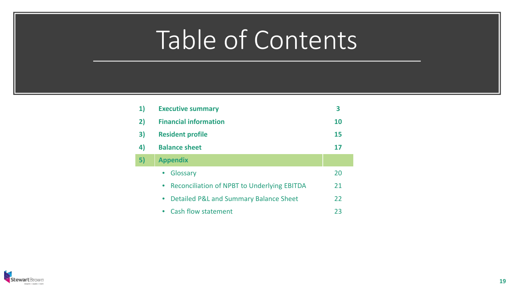| 1) | <b>Executive summary</b>                            | 3  |
|----|-----------------------------------------------------|----|
| 2) | <b>Financial information</b>                        | 10 |
| 3) | <b>Resident profile</b>                             | 15 |
| 4) | <b>Balance sheet</b>                                | 17 |
| 5) | <b>Appendix</b>                                     |    |
|    | Glossary                                            | 20 |
|    | <b>Reconciliation of NPBT to Underlying EBITDA</b>  | 21 |
|    | Detailed P&L and Summary Balance Sheet<br>$\bullet$ | 22 |
|    | <b>Cash flow statement</b><br>$\bullet$             | 23 |

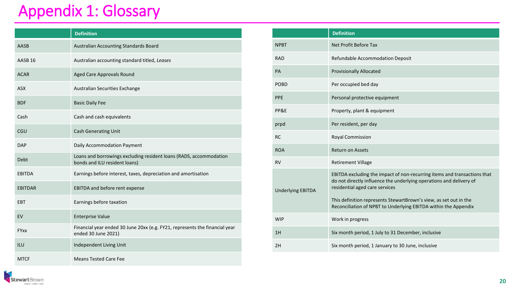### Appendix 1: Glossary

StewartBrown

Integrity + Quality + Clarity

|                    | <b>Definition</b>                                                                                   |
|--------------------|-----------------------------------------------------------------------------------------------------|
| AASB               | Australian Accounting Standards Board                                                               |
| AASB <sub>16</sub> | Australian accounting standard titled, Leases                                                       |
| <b>ACAR</b>        | Aged Care Approvals Round                                                                           |
| <b>ASX</b>         | Australian Securities Exchange                                                                      |
| <b>BDF</b>         | <b>Basic Daily Fee</b>                                                                              |
| Cash               | Cash and cash equivalents                                                                           |
| CGU                | <b>Cash Generating Unit</b>                                                                         |
| <b>DAP</b>         | Daily Accommodation Payment                                                                         |
| Debt               | Loans and borrowings excluding resident loans (RADS, accommodation<br>bonds and ILU resident loans) |
| <b>EBITDA</b>      | Earnings before interest, taxes, depreciation and amortisation                                      |
| <b>EBITDAR</b>     | EBITDA and before rent expense                                                                      |
| EBT                | Earnings before taxation                                                                            |
| EV                 | <b>Enterprise Value</b>                                                                             |
| <b>FYxx</b>        | Financial year ended 30 June 20xx (e.g. FY21, represents the financial year<br>ended 30 June 2021)  |
| ILU                | Independent Living Unit                                                                             |
| <b>MTCF</b>        | <b>Means Tested Care Fee</b>                                                                        |

|                          | <b>Definition</b>                                                                                                                                                                 |
|--------------------------|-----------------------------------------------------------------------------------------------------------------------------------------------------------------------------------|
| <b>NPBT</b>              | Net Profit Before Tax                                                                                                                                                             |
| <b>RAD</b>               | Refundable Accommodation Deposit                                                                                                                                                  |
| <b>PA</b>                | <b>Provisionally Allocated</b>                                                                                                                                                    |
| <b>POBD</b>              | Per occupied bed day                                                                                                                                                              |
| <b>PPE</b>               | Personal protective equipment                                                                                                                                                     |
| PP&E                     | Property, plant & equipment                                                                                                                                                       |
| prpd                     | Per resident, per day                                                                                                                                                             |
| <b>RC</b>                | Royal Commission                                                                                                                                                                  |
| <b>ROA</b>               | <b>Return on Assets</b>                                                                                                                                                           |
| <b>RV</b>                | <b>Retirement Village</b>                                                                                                                                                         |
| <b>Underlying EBITDA</b> | EBITDA excluding the impact of non-recurring items and transactions that<br>do not directly influence the underlying operations and delivery of<br>residential aged care services |
|                          | This definition represents StewartBrown's view, as set out in the<br>Reconciliation of NPBT to Underlying EBITDA within the Appendix                                              |
| <b>WIP</b>               | Work in progress                                                                                                                                                                  |
| 1H                       | Six month period, 1 July to 31 December, inclusive                                                                                                                                |
| 2H                       | Six month period, 1 January to 30 June, inclusive                                                                                                                                 |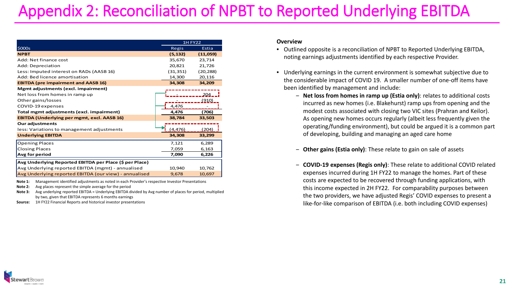### Appendix 2: Reconciliation of NPBT to Reported Underlying EBITDA

|                                                         | <b>1H FY22</b> |              |
|---------------------------------------------------------|----------------|--------------|
| \$000s                                                  | Regis          | Estia        |
| <b>NPBT</b>                                             | (5, 132)       | (11,059)     |
| Add: Net finance cost                                   | 35,670         | 23,714       |
| Add: Depreciation                                       | 20,821         | 21,726       |
| Less: Imputed interest on RADs (AASB 16)                | (31, 351)      | (20, 288)    |
| Add: Bed licence amortisation                           | 14,300         | 20,116       |
| <b>EBITDA (pre impairment and AASB 16)</b>              | 34,308         | 34,209       |
| Mgmt adjustments (excl. impairment)                     |                |              |
| Net loss from homes in ramp up                          |                | 204          |
| Other gains/losses                                      |                | <u>(910)</u> |
| COVID-19 expenses                                       | 4.476          |              |
| Total mgmt adjustments (excl. impairment)               | 4,476          | (706)        |
| <b>EBITDA (Underlying per mgmt, excl. AASB 16)</b>      | 38,784         | 33,503       |
| <b>Our adjustments</b>                                  |                |              |
| less: Variations to management adjustments              | (4, 476)       | (204)        |
| <b>Underlying EBITDA</b>                                | 34,308         | 33,299       |
| <b>Opening Places</b>                                   | 7,121          | 6,289        |
| <b>Closing Places</b>                                   | 7,059          | 6,163        |
| Avg for period                                          | 7,090          | 6,226        |
| Avg Underlying Reported EBITDA per Place (\$ per Place) |                |              |
| Avg Underlying reported EBITDA (mgmt) - annualised      | 10,940         | 10,762       |
| Avg Underlying reported EBITDA (our view) - annualised  | 9,678          | 10,697       |

**Note 1:** Management identified adjustments as noted in each Provider's respective Investor Presentations

**Note 2:** Avg places represent the simple average for the period

**Note 3:** Avg underlying reported EBITDA = Underlying EBITDA divided by Avg number of places for period, multiplied by two, given that EBITDA represents 6 months earnings

**Source:** 1H FY22 Financial Reports and historical investor presentations

#### **Overview**

- Outlined opposite is a reconciliation of NPBT to Reported Underlying EBITDA, noting earnings adjustments identified by each respective Provider.
- Underlying earnings in the current environment is somewhat subjective due to the considerable impact of COVID 19. A smaller number of one-off items have been identified by management and include:
	- ‒ **Net loss from homes in ramp up (Estia only)**: relates to additional costs incurred as new homes (i.e. Blakehurst) ramp ups from opening and the modest costs associated with closing two VIC sites (Prahran and Keilor). As opening new homes occurs regularly (albeit less frequently given the operating/funding environment), but could be argued it is a common part of developing, building and managing an aged care home
	- ‒ **Other gains (Estia only)**: These relate to gain on sale of assets
	- ‒ **COVID-19 expenses (Regis only)**: These relate to additional COVID related expenses incurred during 1H FY22 to manage the homes. Part of these costs are expected to be recovered through funding applications, with this income expected in 2H FY22. For comparability purposes between the two providers, we have adjusted Regis' COVID expenses to present a like-for-like comparison of EBITDA (i.e. both including COVID expenses)

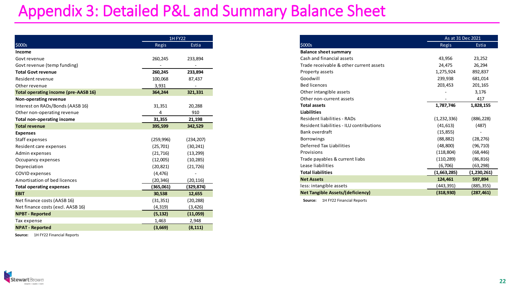### Appendix 3: Detailed P&L and Summary Balance Sheet

|                                      | <b>1H FY22</b> |            |
|--------------------------------------|----------------|------------|
| \$000s                               | Regis          | Estia      |
| Income                               |                |            |
| Govt revenue                         | 260,245        | 233,894    |
| Govt revenue (temp funding)          |                |            |
| <b>Total Govt revenue</b>            | 260,245        | 233,894    |
| Resident revenue                     | 100,068        | 87,437     |
| Other revenue                        | 3,931          |            |
| Total operating income (pre-AASB 16) | 364,244        | 321,331    |
| Non-operating revenue                |                |            |
| Interest on RADs/Bonds (AASB 16)     | 31,351         | 20,288     |
| Other non-operating revenue          | 4              | 910        |
| <b>Total non-operating income</b>    | 31,355         | 21,198     |
| <b>Total revenue</b>                 | 395,599        | 342,529    |
| <b>Expenses</b>                      |                |            |
| Staff expenses                       | (259,996)      | (234, 207) |
| Resident care expenses               | (25, 701)      | (30, 241)  |
| Admin expenses                       | (21, 716)      | (13, 299)  |
| Occupancy expenses                   | (12,005)       | (10, 285)  |
| Depreciation                         | (20, 821)      | (21, 726)  |
| <b>COVID</b> expenses                | (4, 476)       |            |
| Amortisation of bed licences         | (20, 346)      | (20,116)   |
| <b>Total operating expenses</b>      | (365,061)      | (329, 874) |
| <b>EBIT</b>                          | 30,538         | 12,655     |
| Net finance costs (AASB 16)          | (31, 351)      | (20, 288)  |
| Net finance costs (excl. AASB 16)    | (4, 319)       | (3, 426)   |
| <b>NPBT - Reported</b>               | (5, 132)       | (11,059)   |
| Tax expense                          | 1,463          | 2,948      |
| <b>NPAT - Reported</b>               | (3,669)        | (8, 111)   |

**Source:** 1H FY22 Financial Reports

| As at 31 Dec 2021                        |             |               |
|------------------------------------------|-------------|---------------|
| \$000s                                   | Regis       | Estia         |
| <b>Balance sheet summary</b>             |             |               |
| Cash and financial assets                | 43,956      | 23,252        |
| Trade receivable & other current assets  | 24,475      | 26,294        |
| Property assets                          | 1,275,924   | 892,837       |
| Goodwill                                 | 239,938     | 681,014       |
| <b>Bed licences</b>                      | 203,453     | 201,165       |
| Other intangible assets                  |             | 3,176         |
| Other non-current assets                 |             | 417           |
| <b>Total assets</b>                      | 1,787,746   | 1,828,155     |
| <b>Liabilities</b>                       |             |               |
| Resident liabilities - RADs              | (1,232,336) | (886, 228)    |
| Resident liabilities - ILU contributions | (41, 613)   | (487)         |
| Bank overdraft                           | (15, 855)   |               |
| <b>Borrowings</b>                        | (88, 882)   | (28, 276)     |
| Deferred Tax Liabilities                 | (48, 800)   | (96, 710)     |
| Provisions                               | (118, 804)  | (68, 446)     |
| Trade payables & current liabs           | (110, 289)  | (86, 816)     |
| Lease liabilities                        | (6,706)     | (63,298)      |
| <b>Total liabilities</b>                 | (1,663,285) | (1, 230, 261) |
| <b>Net Assets</b>                        | 124,461     | 597,894       |
| less: intangible assets                  | (443,391)   | (885,355)     |
| <b>Net Tangible Assets/(deficiency)</b>  | (318,930)   | (287, 461)    |

**Source:** 1H FY22 Financial Reports

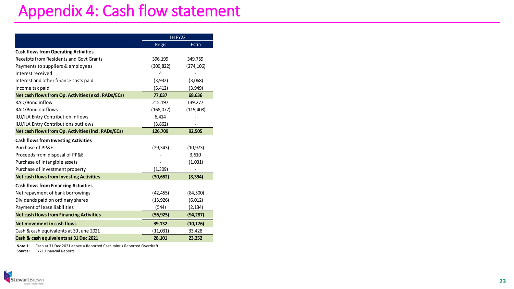### Appendix 4: Cash flow statement

|                                                     | <b>1H FY22</b> |            |
|-----------------------------------------------------|----------------|------------|
|                                                     | Regis          | Estia      |
| <b>Cash flows from Operating Activities</b>         |                |            |
| Receipts from Residents and Govt Grants             | 396,199        | 349,759    |
| Payments to suppliers & employees                   | (309, 822)     | (274, 106) |
| Interest received                                   | 4              |            |
| Interest and other finance costs paid               | (3,932)        | (3,068)    |
| Income tax paid                                     | (5, 412)       | (3,949)    |
| Net cash flows from Op. Activities (excl. RADs/ECs) | 77,037         | 68,636     |
| RAD/Bond inflow                                     | 215,197        | 139,277    |
| RAD/Bond outflows                                   | (168, 077)     | (115, 408) |
| ILU/ILA Entry Contribution inflows                  | 6,414          |            |
| ILU/ILA Entry Contributions outflows                | (3,862)        |            |
| Net cash flows from Op. Activities (incl. RADs/ECs) | 126,709        | 92,505     |
| <b>Cash flows from Investing Activities</b>         |                |            |
| Purchase of PP&F                                    | (29, 343)      | (10, 973)  |
| Proceeds from disposal of PP&E                      |                | 3,610      |
| Purchase of intangible assets                       |                | (1,031)    |
| Purchase of investment property                     | (1,309)        |            |
| <b>Net cash flows from Investing Activities</b>     | (30, 652)      | (8, 394)   |
| <b>Cash flows from Financing Activities</b>         |                |            |
| Net repayment of bank borrowings                    | (42, 455)      | (84, 500)  |
| Dividends paid on ordinary shares                   | (13, 926)      | (6, 012)   |
| Payment of lease liabilities                        | (544)          | (2, 134)   |
| <b>Net cash flows from Financing Activities</b>     | (56, 925)      | (94, 287)  |
| Net movement in cash flows                          | 39,132         | (10, 176)  |
| Cash & cash equivalents at 30 June 2021             | (11, 031)      | 33,428     |
| Cash & cash equivalents at 31 Dec 2021              | 28,101         | 23,252     |

**Note 1:** Cash at 31 Dec 2021 above = Reported Cash minus Reported Overdraft **Source:** FY21 Financial Reports